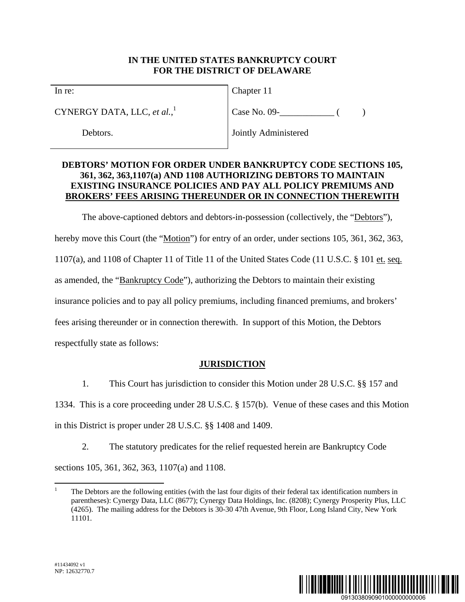### **IN THE UNITED STATES BANKRUPTCY COURT FOR THE DISTRICT OF DELAWARE**

In re:

CYNERGY DATA, LLC, *et al.*, 1

Debtors.

Chapter 11

 $Case No. 09 -$  ( )

Jointly Administered

## **DEBTORS' MOTION FOR ORDER UNDER BANKRUPTCY CODE SECTIONS 105, 361, 362, 363,1107(a) AND 1108 AUTHORIZING DEBTORS TO MAINTAIN EXISTING INSURANCE POLICIES AND PAY ALL POLICY PREMIUMS AND BROKERS' FEES ARISING THEREUNDER OR IN CONNECTION THEREWITH**

The above-captioned debtors and debtors-in-possession (collectively, the "Debtors"), hereby move this Court (the "Motion") for entry of an order, under sections 105, 361, 362, 363, 1107(a), and 1108 of Chapter 11 of Title 11 of the United States Code (11 U.S.C. § 101 et. seq. as amended, the "Bankruptcy Code"), authorizing the Debtors to maintain their existing insurance policies and to pay all policy premiums, including financed premiums, and brokers' fees arising thereunder or in connection therewith. In support of this Motion, the Debtors respectfully state as follows:

## **JURISDICTION**

1. This Court has jurisdiction to consider this Motion under 28 U.S.C. §§ 157 and 1334. This is a core proceeding under 28 U.S.C. § 157(b). Venue of these cases and this Motion in this District is proper under 28 U.S.C. §§ 1408 and 1409.

2. The statutory predicates for the relief requested herein are Bankruptcy Code sections 105, 361, 362, 363, 1107(a) and 1108.



 $\overline{a}$ 1 The Debtors are the following entities (with the last four digits of their federal tax identification numbers in parentheses): Cynergy Data, LLC (8677); Cynergy Data Holdings, Inc. (8208); Cynergy Prosperity Plus, LLC (4265). The mailing address for the Debtors is 30-30 47th Avenue, 9th Floor, Long Island City, New York 11101.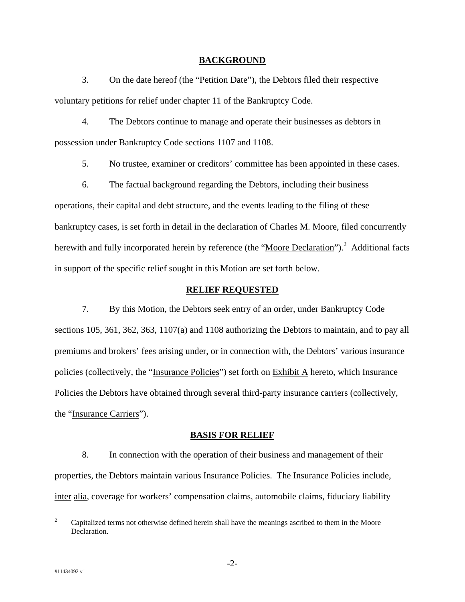#### **BACKGROUND**

3. On the date hereof (the "Petition Date"), the Debtors filed their respective voluntary petitions for relief under chapter 11 of the Bankruptcy Code.

4. The Debtors continue to manage and operate their businesses as debtors in possession under Bankruptcy Code sections 1107 and 1108.

5. No trustee, examiner or creditors' committee has been appointed in these cases.

6. The factual background regarding the Debtors, including their business operations, their capital and debt structure, and the events leading to the filing of these bankruptcy cases, is set forth in detail in the declaration of Charles M. Moore, filed concurrently herewith and fully incorporated herein by reference (the "Moore Declaration").<sup>2</sup> Additional facts in support of the specific relief sought in this Motion are set forth below.

#### **RELIEF REQUESTED**

7. By this Motion, the Debtors seek entry of an order, under Bankruptcy Code sections 105, 361, 362, 363, 1107(a) and 1108 authorizing the Debtors to maintain, and to pay all premiums and brokers' fees arising under, or in connection with, the Debtors' various insurance policies (collectively, the "Insurance Policies") set forth on Exhibit A hereto, which Insurance Policies the Debtors have obtained through several third-party insurance carriers (collectively, the "Insurance Carriers").

#### **BASIS FOR RELIEF**

8. In connection with the operation of their business and management of their properties, the Debtors maintain various Insurance Policies. The Insurance Policies include, inter alia, coverage for workers' compensation claims, automobile claims, fiduciary liability

 $\frac{1}{2}$  Capitalized terms not otherwise defined herein shall have the meanings ascribed to them in the Moore Declaration.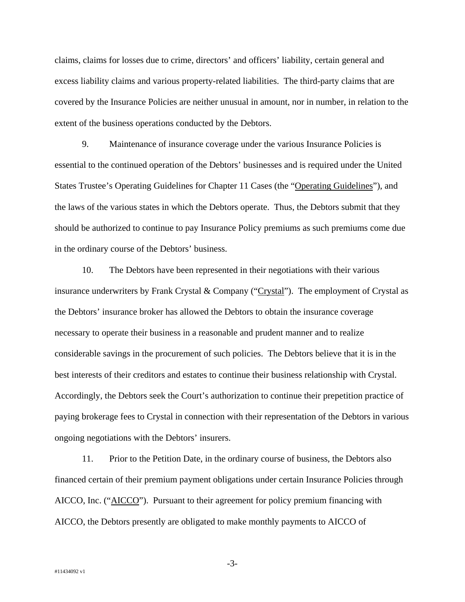claims, claims for losses due to crime, directors' and officers' liability, certain general and excess liability claims and various property-related liabilities. The third-party claims that are covered by the Insurance Policies are neither unusual in amount, nor in number, in relation to the extent of the business operations conducted by the Debtors.

9. Maintenance of insurance coverage under the various Insurance Policies is essential to the continued operation of the Debtors' businesses and is required under the United States Trustee's Operating Guidelines for Chapter 11 Cases (the "Operating Guidelines"), and the laws of the various states in which the Debtors operate. Thus, the Debtors submit that they should be authorized to continue to pay Insurance Policy premiums as such premiums come due in the ordinary course of the Debtors' business.

10. The Debtors have been represented in their negotiations with their various insurance underwriters by Frank Crystal & Company (" $\frac{Crystal}{T}$ "). The employment of Crystal as the Debtors' insurance broker has allowed the Debtors to obtain the insurance coverage necessary to operate their business in a reasonable and prudent manner and to realize considerable savings in the procurement of such policies. The Debtors believe that it is in the best interests of their creditors and estates to continue their business relationship with Crystal. Accordingly, the Debtors seek the Court's authorization to continue their prepetition practice of paying brokerage fees to Crystal in connection with their representation of the Debtors in various ongoing negotiations with the Debtors' insurers.

11. Prior to the Petition Date, in the ordinary course of business, the Debtors also financed certain of their premium payment obligations under certain Insurance Policies through AICCO, Inc. ("AICCO"). Pursuant to their agreement for policy premium financing with AICCO, the Debtors presently are obligated to make monthly payments to AICCO of

-3-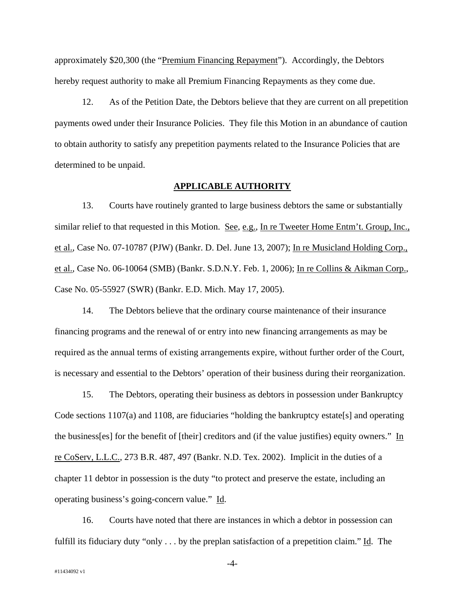approximately \$20,300 (the "Premium Financing Repayment"). Accordingly, the Debtors hereby request authority to make all Premium Financing Repayments as they come due.

12. As of the Petition Date, the Debtors believe that they are current on all prepetition payments owed under their Insurance Policies. They file this Motion in an abundance of caution to obtain authority to satisfy any prepetition payments related to the Insurance Policies that are determined to be unpaid.

#### **APPLICABLE AUTHORITY**

13. Courts have routinely granted to large business debtors the same or substantially similar relief to that requested in this Motion. See, e.g., In re Tweeter Home Entm't. Group, Inc., et al., Case No. 07-10787 (PJW) (Bankr. D. Del. June 13, 2007); In re Musicland Holding Corp., et al., Case No. 06-10064 (SMB) (Bankr. S.D.N.Y. Feb. 1, 2006); In re Collins & Aikman Corp., Case No. 05-55927 (SWR) (Bankr. E.D. Mich. May 17, 2005).

14. The Debtors believe that the ordinary course maintenance of their insurance financing programs and the renewal of or entry into new financing arrangements as may be required as the annual terms of existing arrangements expire, without further order of the Court, is necessary and essential to the Debtors' operation of their business during their reorganization.

15. The Debtors, operating their business as debtors in possession under Bankruptcy Code sections  $1107(a)$  and  $1108$ , are fiduciaries "holding the bankruptcy estate[s] and operating the business[es] for the benefit of [their] creditors and (if the value justifies) equity owners." In re CoServ, L.L.C., 273 B.R. 487, 497 (Bankr. N.D. Tex. 2002). Implicit in the duties of a chapter 11 debtor in possession is the duty "to protect and preserve the estate, including an operating business's going-concern value." Id.

16. Courts have noted that there are instances in which a debtor in possession can fulfill its fiduciary duty "only . . . by the preplan satisfaction of a prepetition claim." Id. The

-4-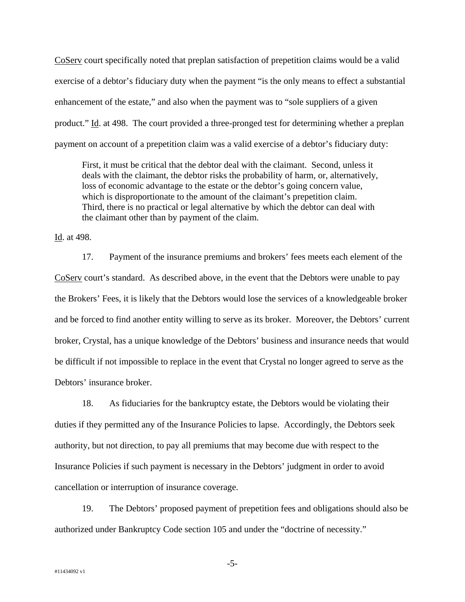CoServ court specifically noted that preplan satisfaction of prepetition claims would be a valid exercise of a debtor's fiduciary duty when the payment "is the only means to effect a substantial enhancement of the estate," and also when the payment was to "sole suppliers of a given product." Id. at 498. The court provided a three-pronged test for determining whether a preplan payment on account of a prepetition claim was a valid exercise of a debtor's fiduciary duty:

First, it must be critical that the debtor deal with the claimant. Second, unless it deals with the claimant, the debtor risks the probability of harm, or, alternatively, loss of economic advantage to the estate or the debtor's going concern value, which is disproportionate to the amount of the claimant's prepetition claim. Third, there is no practical or legal alternative by which the debtor can deal with the claimant other than by payment of the claim.

Id. at 498.

17. Payment of the insurance premiums and brokers' fees meets each element of the CoServ court's standard. As described above, in the event that the Debtors were unable to pay the Brokers' Fees, it is likely that the Debtors would lose the services of a knowledgeable broker and be forced to find another entity willing to serve as its broker. Moreover, the Debtors' current broker, Crystal, has a unique knowledge of the Debtors' business and insurance needs that would be difficult if not impossible to replace in the event that Crystal no longer agreed to serve as the Debtors' insurance broker.

18. As fiduciaries for the bankruptcy estate, the Debtors would be violating their duties if they permitted any of the Insurance Policies to lapse. Accordingly, the Debtors seek authority, but not direction, to pay all premiums that may become due with respect to the Insurance Policies if such payment is necessary in the Debtors' judgment in order to avoid cancellation or interruption of insurance coverage.

19. The Debtors' proposed payment of prepetition fees and obligations should also be authorized under Bankruptcy Code section 105 and under the "doctrine of necessity."

-5-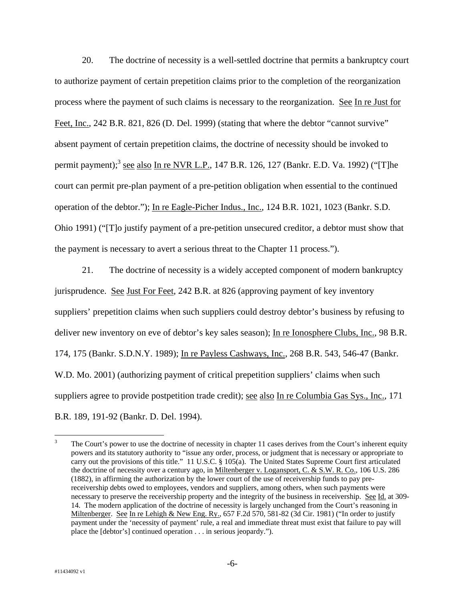20. The doctrine of necessity is a well-settled doctrine that permits a bankruptcy court to authorize payment of certain prepetition claims prior to the completion of the reorganization process where the payment of such claims is necessary to the reorganization. See In re Just for Feet, Inc., 242 B.R. 821, 826 (D. Del. 1999) (stating that where the debtor "cannot survive" absent payment of certain prepetition claims, the doctrine of necessity should be invoked to permit payment);<sup>3</sup> see also In re NVR L.P., 147 B.R. 126, 127 (Bankr. E.D. Va. 1992) ("[T]he court can permit pre-plan payment of a pre-petition obligation when essential to the continued operation of the debtor."); In re Eagle-Picher Indus., Inc., 124 B.R. 1021, 1023 (Bankr. S.D. Ohio 1991) ("[T]o justify payment of a pre-petition unsecured creditor, a debtor must show that the payment is necessary to avert a serious threat to the Chapter 11 process.").

21. The doctrine of necessity is a widely accepted component of modern bankruptcy jurisprudence. See Just For Feet, 242 B.R. at 826 (approving payment of key inventory suppliers' prepetition claims when such suppliers could destroy debtor's business by refusing to deliver new inventory on eve of debtor's key sales season); In re Ionosphere Clubs, Inc., 98 B.R. 174, 175 (Bankr. S.D.N.Y. 1989); In re Payless Cashways, Inc., 268 B.R. 543, 546-47 (Bankr. W.D. Mo. 2001) (authorizing payment of critical prepetition suppliers' claims when such suppliers agree to provide postpetition trade credit); see also In re Columbia Gas Sys., Inc., 171 B.R. 189, 191-92 (Bankr. D. Del. 1994).

 $\frac{1}{3}$  The Court's power to use the doctrine of necessity in chapter 11 cases derives from the Court's inherent equity powers and its statutory authority to "issue any order, process, or judgment that is necessary or appropriate to carry out the provisions of this title." 11 U.S.C. § 105(a). The United States Supreme Court first articulated the doctrine of necessity over a century ago, in Miltenberger v. Logansport, C. & S.W. R. Co., 106 U.S. 286 (1882), in affirming the authorization by the lower court of the use of receivership funds to pay prereceivership debts owed to employees, vendors and suppliers, among others, when such payments were necessary to preserve the receivership property and the integrity of the business in receivership. See Id. at 309-14. The modern application of the doctrine of necessity is largely unchanged from the Court's reasoning in Miltenberger. See In re Lehigh & New Eng. Ry., 657 F.2d 570, 581-82 (3d Cir. 1981) ("In order to justify payment under the 'necessity of payment' rule, a real and immediate threat must exist that failure to pay will place the [debtor's] continued operation . . . in serious jeopardy.").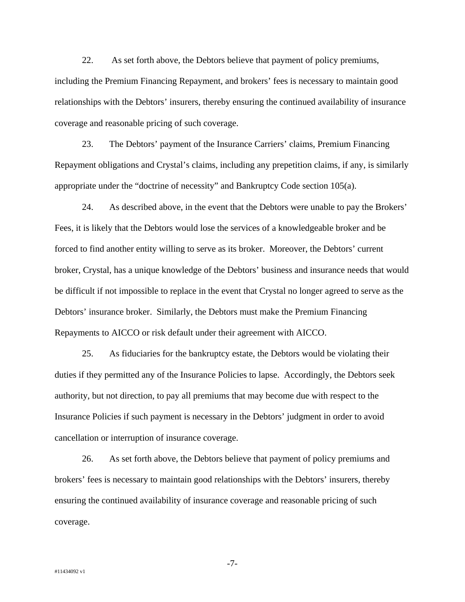22. As set forth above, the Debtors believe that payment of policy premiums, including the Premium Financing Repayment, and brokers' fees is necessary to maintain good relationships with the Debtors' insurers, thereby ensuring the continued availability of insurance coverage and reasonable pricing of such coverage.

23. The Debtors' payment of the Insurance Carriers' claims, Premium Financing Repayment obligations and Crystal's claims, including any prepetition claims, if any, is similarly appropriate under the "doctrine of necessity" and Bankruptcy Code section 105(a).

24. As described above, in the event that the Debtors were unable to pay the Brokers' Fees, it is likely that the Debtors would lose the services of a knowledgeable broker and be forced to find another entity willing to serve as its broker. Moreover, the Debtors' current broker, Crystal, has a unique knowledge of the Debtors' business and insurance needs that would be difficult if not impossible to replace in the event that Crystal no longer agreed to serve as the Debtors' insurance broker. Similarly, the Debtors must make the Premium Financing Repayments to AICCO or risk default under their agreement with AICCO.

25. As fiduciaries for the bankruptcy estate, the Debtors would be violating their duties if they permitted any of the Insurance Policies to lapse. Accordingly, the Debtors seek authority, but not direction, to pay all premiums that may become due with respect to the Insurance Policies if such payment is necessary in the Debtors' judgment in order to avoid cancellation or interruption of insurance coverage.

26. As set forth above, the Debtors believe that payment of policy premiums and brokers' fees is necessary to maintain good relationships with the Debtors' insurers, thereby ensuring the continued availability of insurance coverage and reasonable pricing of such coverage.

-7-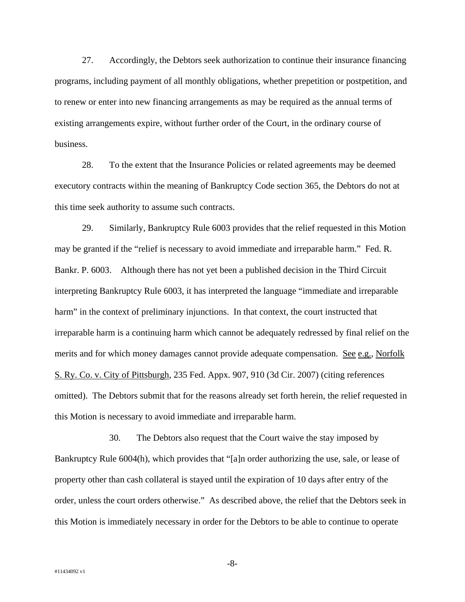27. Accordingly, the Debtors seek authorization to continue their insurance financing programs, including payment of all monthly obligations, whether prepetition or postpetition, and to renew or enter into new financing arrangements as may be required as the annual terms of existing arrangements expire, without further order of the Court, in the ordinary course of business.

28. To the extent that the Insurance Policies or related agreements may be deemed executory contracts within the meaning of Bankruptcy Code section 365, the Debtors do not at this time seek authority to assume such contracts.

29. Similarly, Bankruptcy Rule 6003 provides that the relief requested in this Motion may be granted if the "relief is necessary to avoid immediate and irreparable harm." Fed. R. Bankr. P. 6003. Although there has not yet been a published decision in the Third Circuit interpreting Bankruptcy Rule 6003, it has interpreted the language "immediate and irreparable harm" in the context of preliminary injunctions. In that context, the court instructed that irreparable harm is a continuing harm which cannot be adequately redressed by final relief on the merits and for which money damages cannot provide adequate compensation. See e.g., Norfolk S. Ry. Co. v. City of Pittsburgh, 235 Fed. Appx. 907, 910 (3d Cir. 2007) (citing references omitted). The Debtors submit that for the reasons already set forth herein, the relief requested in this Motion is necessary to avoid immediate and irreparable harm.

30. The Debtors also request that the Court waive the stay imposed by Bankruptcy Rule 6004(h), which provides that "[a]n order authorizing the use, sale, or lease of property other than cash collateral is stayed until the expiration of 10 days after entry of the order, unless the court orders otherwise." As described above, the relief that the Debtors seek in this Motion is immediately necessary in order for the Debtors to be able to continue to operate

-8-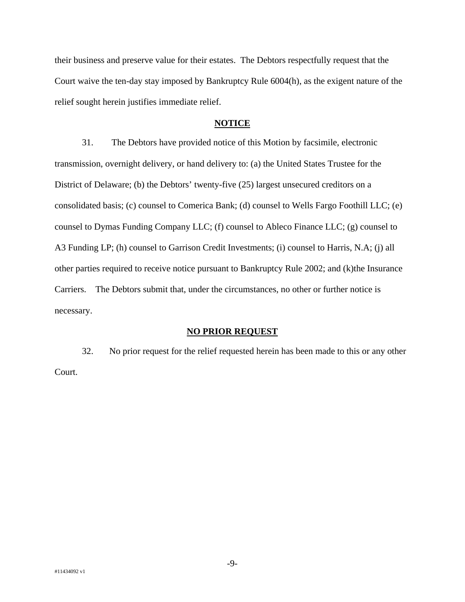their business and preserve value for their estates. The Debtors respectfully request that the Court waive the ten-day stay imposed by Bankruptcy Rule 6004(h), as the exigent nature of the relief sought herein justifies immediate relief.

#### **NOTICE**

31. The Debtors have provided notice of this Motion by facsimile, electronic transmission, overnight delivery, or hand delivery to: (a) the United States Trustee for the District of Delaware; (b) the Debtors' twenty-five (25) largest unsecured creditors on a consolidated basis; (c) counsel to Comerica Bank; (d) counsel to Wells Fargo Foothill LLC; (e) counsel to Dymas Funding Company LLC; (f) counsel to Ableco Finance LLC; (g) counsel to A3 Funding LP; (h) counsel to Garrison Credit Investments; (i) counsel to Harris, N.A; (j) all other parties required to receive notice pursuant to Bankruptcy Rule 2002; and (k)the Insurance Carriers. The Debtors submit that, under the circumstances, no other or further notice is necessary.

#### **NO PRIOR REQUEST**

32. No prior request for the relief requested herein has been made to this or any other Court.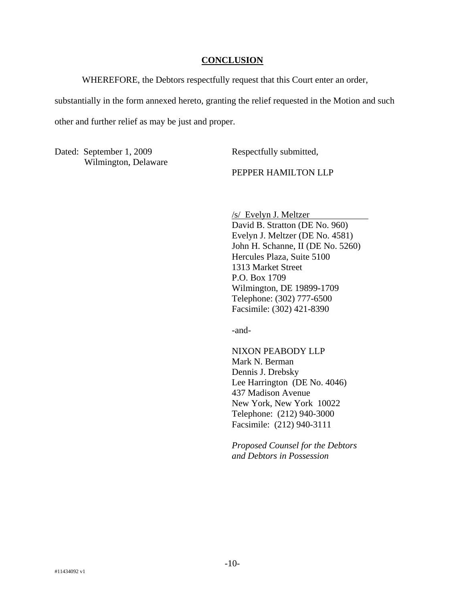#### **CONCLUSION**

WHEREFORE, the Debtors respectfully request that this Court enter an order,

substantially in the form annexed hereto, granting the relief requested in the Motion and such

other and further relief as may be just and proper.

Dated: September 1, 2009 Wilmington, Delaware Respectfully submitted,

PEPPER HAMILTON LLP

/s/ Evelyn J. Meltzer David B. Stratton (DE No. 960) Evelyn J. Meltzer (DE No. 4581) John H. Schanne, II (DE No. 5260) Hercules Plaza, Suite 5100 1313 Market Street P.O. Box 1709 Wilmington, DE 19899-1709 Telephone: (302) 777-6500 Facsimile: (302) 421-8390

-and-

NIXON PEABODY LLP Mark N. Berman Dennis J. Drebsky Lee Harrington (DE No. 4046) 437 Madison Avenue New York, New York 10022 Telephone: (212) 940-3000 Facsimile: (212) 940-3111

*Proposed Counsel for the Debtors and Debtors in Possession*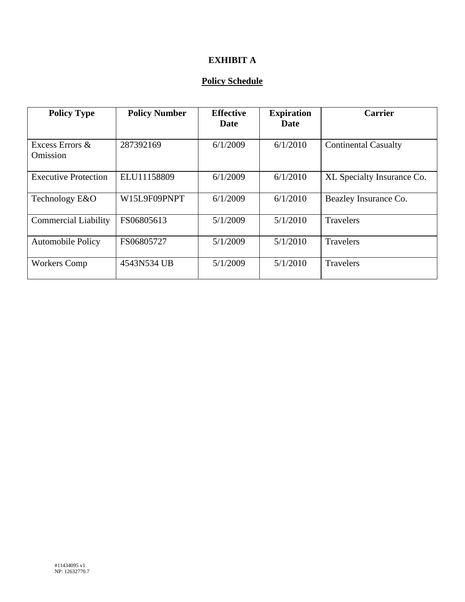# **EXHIBIT A**

## **Policy Schedule**

| <b>Policy Type</b>          | <b>Policy Number</b> | <b>Effective</b><br>Date | <b>Expiration</b><br>Date | <b>Carrier</b>              |
|-----------------------------|----------------------|--------------------------|---------------------------|-----------------------------|
| Excess Errors &<br>Omission | 287392169            | 6/1/2009                 | 6/1/2010                  | <b>Continental Casualty</b> |
| <b>Executive Protection</b> | ELU11158809          | 6/1/2009                 | 6/1/2010                  | XL Specialty Insurance Co.  |
| Technology E&O              | W15L9F09PNPT         | 6/1/2009                 | 6/1/2010                  | Beazley Insurance Co.       |
| <b>Commercial Liability</b> | FS06805613           | 5/1/2009                 | 5/1/2010                  | <b>Travelers</b>            |
| <b>Automobile Policy</b>    | FS06805727           | 5/1/2009                 | 5/1/2010                  | Travelers                   |
| <b>Workers Comp</b>         | 4543N534 UB          | 5/1/2009                 | 5/1/2010                  | <b>Travelers</b>            |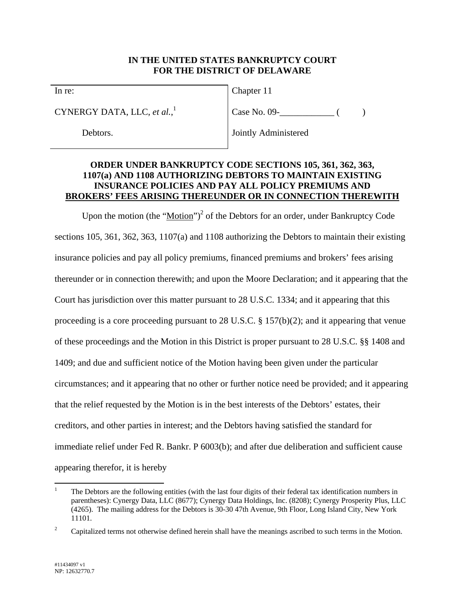### **IN THE UNITED STATES BANKRUPTCY COURT FOR THE DISTRICT OF DELAWARE**

In re:

CYNERGY DATA, LLC, *et al.*, 1

Debtors.

Chapter 11

 $Case No. 09 -$  ( )

Jointly Administered

### **ORDER UNDER BANKRUPTCY CODE SECTIONS 105, 361, 362, 363, 1107(a) AND 1108 AUTHORIZING DEBTORS TO MAINTAIN EXISTING INSURANCE POLICIES AND PAY ALL POLICY PREMIUMS AND BROKERS' FEES ARISING THEREUNDER OR IN CONNECTION THEREWITH**

Upon the motion (the "Motion")<sup>2</sup> of the Debtors for an order, under Bankruptcy Code sections 105, 361, 362, 363, 1107(a) and 1108 authorizing the Debtors to maintain their existing insurance policies and pay all policy premiums, financed premiums and brokers' fees arising thereunder or in connection therewith; and upon the Moore Declaration; and it appearing that the Court has jurisdiction over this matter pursuant to 28 U.S.C. 1334; and it appearing that this proceeding is a core proceeding pursuant to 28 U.S.C. § 157(b)(2); and it appearing that venue of these proceedings and the Motion in this District is proper pursuant to 28 U.S.C. §§ 1408 and 1409; and due and sufficient notice of the Motion having been given under the particular circumstances; and it appearing that no other or further notice need be provided; and it appearing that the relief requested by the Motion is in the best interests of the Debtors' estates, their creditors, and other parties in interest; and the Debtors having satisfied the standard for immediate relief under Fed R. Bankr. P 6003(b); and after due deliberation and sufficient cause appearing therefor, it is hereby

 $\overline{a}$ 1 The Debtors are the following entities (with the last four digits of their federal tax identification numbers in parentheses): Cynergy Data, LLC (8677); Cynergy Data Holdings, Inc. (8208); Cynergy Prosperity Plus, LLC (4265). The mailing address for the Debtors is 30-30 47th Avenue, 9th Floor, Long Island City, New York 11101.

<sup>2</sup> Capitalized terms not otherwise defined herein shall have the meanings ascribed to such terms in the Motion.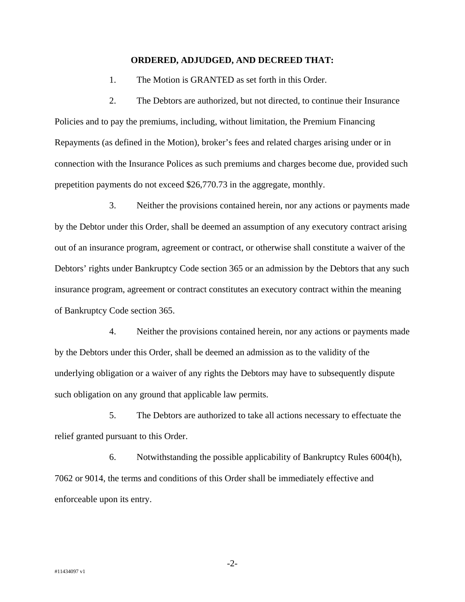#### **ORDERED, ADJUDGED, AND DECREED THAT:**

1. The Motion is GRANTED as set forth in this Order.

2. The Debtors are authorized, but not directed, to continue their Insurance Policies and to pay the premiums, including, without limitation, the Premium Financing Repayments (as defined in the Motion), broker's fees and related charges arising under or in connection with the Insurance Polices as such premiums and charges become due, provided such prepetition payments do not exceed \$26,770.73 in the aggregate, monthly.

3. Neither the provisions contained herein, nor any actions or payments made by the Debtor under this Order, shall be deemed an assumption of any executory contract arising out of an insurance program, agreement or contract, or otherwise shall constitute a waiver of the Debtors' rights under Bankruptcy Code section 365 or an admission by the Debtors that any such insurance program, agreement or contract constitutes an executory contract within the meaning of Bankruptcy Code section 365.

4. Neither the provisions contained herein, nor any actions or payments made by the Debtors under this Order, shall be deemed an admission as to the validity of the underlying obligation or a waiver of any rights the Debtors may have to subsequently dispute such obligation on any ground that applicable law permits.

5. The Debtors are authorized to take all actions necessary to effectuate the relief granted pursuant to this Order.

6. Notwithstanding the possible applicability of Bankruptcy Rules 6004(h), 7062 or 9014, the terms and conditions of this Order shall be immediately effective and enforceable upon its entry.

-2-